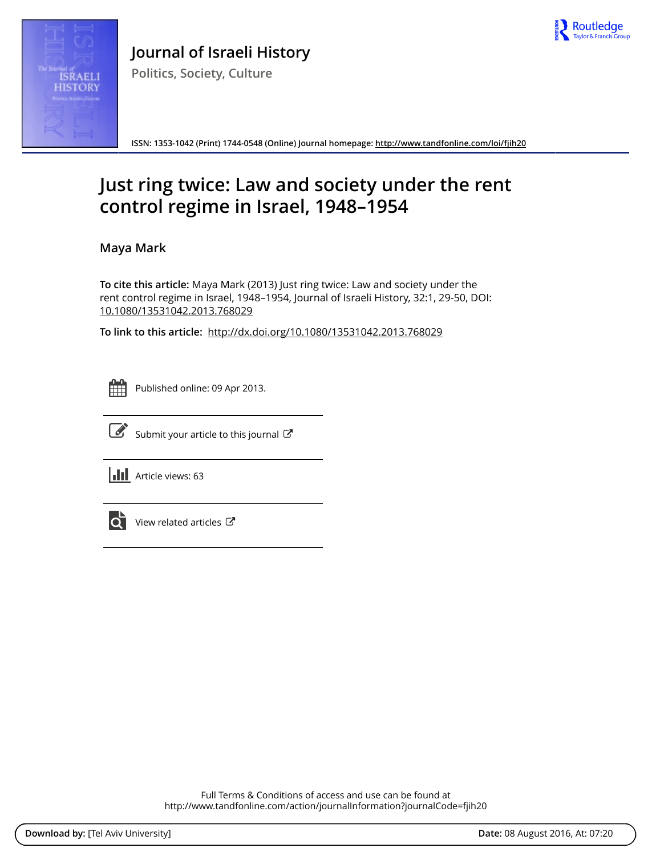



## **Journal of Israeli History**

**Politics, Society, Culture**

**ISSN: 1353-1042 (Print) 1744-0548 (Online) Journal homepage:<http://www.tandfonline.com/loi/fjih20>**

# **Just ring twice: Law and society under the rent control regime in Israel, 1948–1954**

**Maya Mark**

**To cite this article:** Maya Mark (2013) Just ring twice: Law and society under the rent control regime in Israel, 1948–1954, Journal of Israeli History, 32:1, 29-50, DOI: [10.1080/13531042.2013.768029](http://www.tandfonline.com/action/showCitFormats?doi=10.1080/13531042.2013.768029)

**To link to this article:** <http://dx.doi.org/10.1080/13531042.2013.768029>



Published online: 09 Apr 2013.



 $\overline{\mathscr{L}}$  [Submit your article to this journal](http://www.tandfonline.com/action/authorSubmission?journalCode=fjih20&page=instructions)  $\mathbb{Z}$ 

**III** Article views: 63



 $\overrightarrow{Q}$  [View related articles](http://www.tandfonline.com/doi/mlt/10.1080/13531042.2013.768029)  $\overrightarrow{C}$ 

Full Terms & Conditions of access and use can be found at <http://www.tandfonline.com/action/journalInformation?journalCode=fjih20>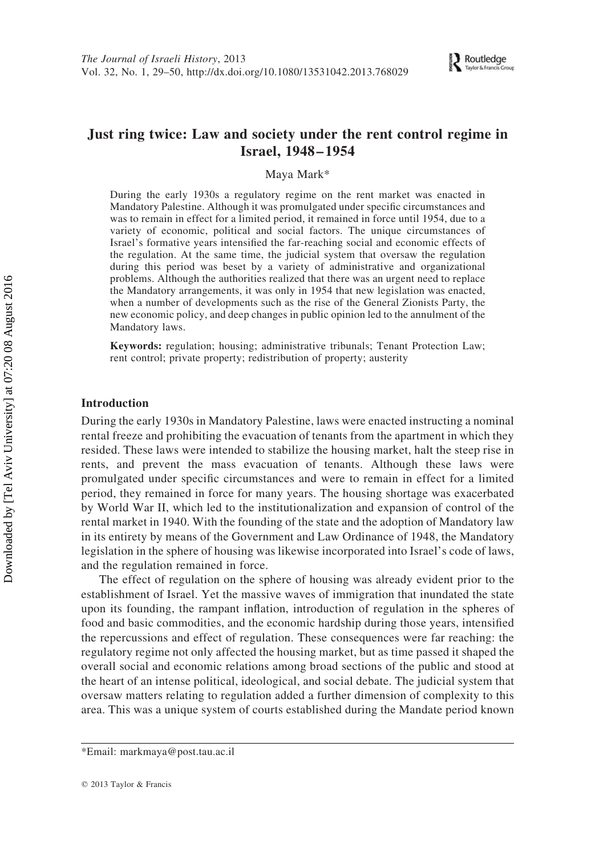## Just ring twice: Law and society under the rent control regime in Israel, 1948–1954

Maya Mark\*

During the early 1930s a regulatory regime on the rent market was enacted in Mandatory Palestine. Although it was promulgated under specific circumstances and was to remain in effect for a limited period, it remained in force until 1954, due to a variety of economic, political and social factors. The unique circumstances of Israel's formative years intensified the far-reaching social and economic effects of the regulation. At the same time, the judicial system that oversaw the regulation during this period was beset by a variety of administrative and organizational problems. Although the authorities realized that there was an urgent need to replace the Mandatory arrangements, it was only in 1954 that new legislation was enacted, when a number of developments such as the rise of the General Zionists Party, the new economic policy, and deep changes in public opinion led to the annulment of the Mandatory laws.

Keywords: regulation; housing; administrative tribunals; Tenant Protection Law; rent control; private property; redistribution of property; austerity

## Introduction

During the early 1930s in Mandatory Palestine, laws were enacted instructing a nominal rental freeze and prohibiting the evacuation of tenants from the apartment in which they resided. These laws were intended to stabilize the housing market, halt the steep rise in rents, and prevent the mass evacuation of tenants. Although these laws were promulgated under specific circumstances and were to remain in effect for a limited period, they remained in force for many years. The housing shortage was exacerbated by World War II, which led to the institutionalization and expansion of control of the rental market in 1940. With the founding of the state and the adoption of Mandatory law in its entirety by means of the Government and Law Ordinance of 1948, the Mandatory legislation in the sphere of housing was likewise incorporated into Israel's code of laws, and the regulation remained in force.

The effect of regulation on the sphere of housing was already evident prior to the establishment of Israel. Yet the massive waves of immigration that inundated the state upon its founding, the rampant inflation, introduction of regulation in the spheres of food and basic commodities, and the economic hardship during those years, intensified the repercussions and effect of regulation. These consequences were far reaching: the regulatory regime not only affected the housing market, but as time passed it shaped the overall social and economic relations among broad sections of the public and stood at the heart of an intense political, ideological, and social debate. The judicial system that oversaw matters relating to regulation added a further dimension of complexity to this area. This was a unique system of courts established during the Mandate period known

<sup>\*</sup>Email: markmaya@post.tau.ac.il

 $Q$  2013 Taylor & Francis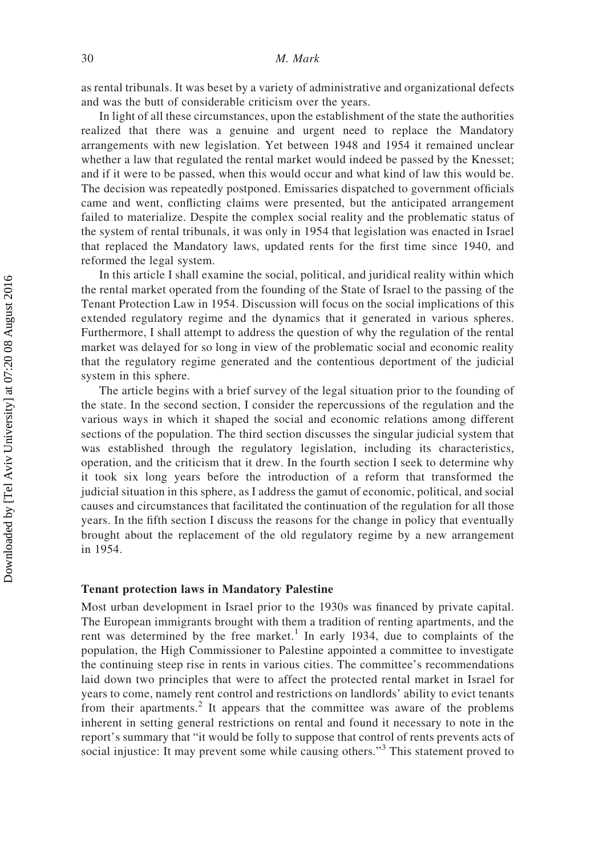as rental tribunals. It was beset by a variety of administrative and organizational defects and was the butt of considerable criticism over the years.

In light of all these circumstances, upon the establishment of the state the authorities realized that there was a genuine and urgent need to replace the Mandatory arrangements with new legislation. Yet between 1948 and 1954 it remained unclear whether a law that regulated the rental market would indeed be passed by the Knesset; and if it were to be passed, when this would occur and what kind of law this would be. The decision was repeatedly postponed. Emissaries dispatched to government officials came and went, conflicting claims were presented, but the anticipated arrangement failed to materialize. Despite the complex social reality and the problematic status of the system of rental tribunals, it was only in 1954 that legislation was enacted in Israel that replaced the Mandatory laws, updated rents for the first time since 1940, and reformed the legal system.

In this article I shall examine the social, political, and juridical reality within which the rental market operated from the founding of the State of Israel to the passing of the Tenant Protection Law in 1954. Discussion will focus on the social implications of this extended regulatory regime and the dynamics that it generated in various spheres. Furthermore, I shall attempt to address the question of why the regulation of the rental market was delayed for so long in view of the problematic social and economic reality that the regulatory regime generated and the contentious deportment of the judicial system in this sphere.

The article begins with a brief survey of the legal situation prior to the founding of the state. In the second section, I consider the repercussions of the regulation and the various ways in which it shaped the social and economic relations among different sections of the population. The third section discusses the singular judicial system that was established through the regulatory legislation, including its characteristics, operation, and the criticism that it drew. In the fourth section I seek to determine why it took six long years before the introduction of a reform that transformed the judicial situation in this sphere, as I address the gamut of economic, political, and social causes and circumstances that facilitated the continuation of the regulation for all those years. In the fifth section I discuss the reasons for the change in policy that eventually brought about the replacement of the old regulatory regime by a new arrangement in 1954.

## Tenant protection laws in Mandatory Palestine

Most urban development in Israel prior to the 1930s was financed by private capital. The European immigrants brought with them a tradition of renting apartments, and the rent was determined by the free market.<sup>1</sup> In early 1934, due to complaints of the population, the High Commissioner to Palestine appointed a committee to investigate the continuing steep rise in rents in various cities. The committee's recommendations laid down two principles that were to affect the protected rental market in Israel for years to come, namely rent control and restrictions on landlords' ability to evict tenants from their apartments.<sup>2</sup> It appears that the committee was aware of the problems inherent in setting general restrictions on rental and found it necessary to note in the report's summary that "it would be folly to suppose that control of rents prevents acts of social injustice: It may prevent some while causing others."<sup>3</sup> This statement proved to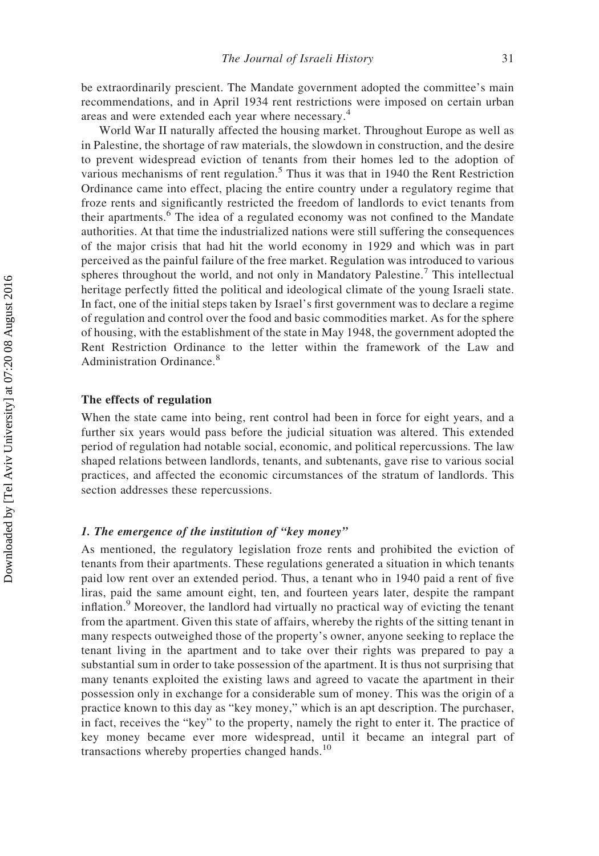be extraordinarily prescient. The Mandate government adopted the committee's main recommendations, and in April 1934 rent restrictions were imposed on certain urban areas and were extended each year where necessary.<sup>4</sup>

World War II naturally affected the housing market. Throughout Europe as well as in Palestine, the shortage of raw materials, the slowdown in construction, and the desire to prevent widespread eviction of tenants from their homes led to the adoption of various mechanisms of rent regulation.<sup>5</sup> Thus it was that in 1940 the Rent Restriction Ordinance came into effect, placing the entire country under a regulatory regime that froze rents and significantly restricted the freedom of landlords to evict tenants from their apartments.<sup>6</sup> The idea of a regulated economy was not confined to the Mandate authorities. At that time the industrialized nations were still suffering the consequences of the major crisis that had hit the world economy in 1929 and which was in part perceived as the painful failure of the free market. Regulation was introduced to various spheres throughout the world, and not only in Mandatory Palestine.<sup>7</sup> This intellectual heritage perfectly fitted the political and ideological climate of the young Israeli state. In fact, one of the initial steps taken by Israel's first government was to declare a regime of regulation and control over the food and basic commodities market. As for the sphere of housing, with the establishment of the state in May 1948, the government adopted the Rent Restriction Ordinance to the letter within the framework of the Law and Administration Ordinance.<sup>8</sup>

## The effects of regulation

When the state came into being, rent control had been in force for eight years, and a further six years would pass before the judicial situation was altered. This extended period of regulation had notable social, economic, and political repercussions. The law shaped relations between landlords, tenants, and subtenants, gave rise to various social practices, and affected the economic circumstances of the stratum of landlords. This section addresses these repercussions.

## 1. The emergence of the institution of "key money"

As mentioned, the regulatory legislation froze rents and prohibited the eviction of tenants from their apartments. These regulations generated a situation in which tenants paid low rent over an extended period. Thus, a tenant who in 1940 paid a rent of five liras, paid the same amount eight, ten, and fourteen years later, despite the rampant inflation.<sup>9</sup> Moreover, the landlord had virtually no practical way of evicting the tenant from the apartment. Given this state of affairs, whereby the rights of the sitting tenant in many respects outweighed those of the property's owner, anyone seeking to replace the tenant living in the apartment and to take over their rights was prepared to pay a substantial sum in order to take possession of the apartment. It is thus not surprising that many tenants exploited the existing laws and agreed to vacate the apartment in their possession only in exchange for a considerable sum of money. This was the origin of a practice known to this day as "key money," which is an apt description. The purchaser, in fact, receives the "key" to the property, namely the right to enter it. The practice of key money became ever more widespread, until it became an integral part of transactions whereby properties changed hands. $10$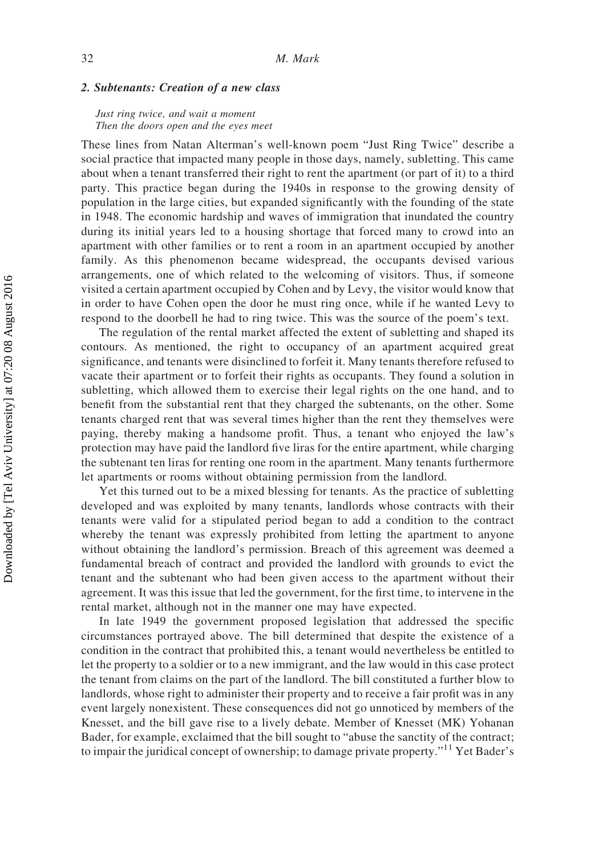## 2. Subtenants: Creation of a new class

Just ring twice, and wait a moment Then the doors open and the eyes meet

These lines from Natan Alterman's well-known poem "Just Ring Twice" describe a social practice that impacted many people in those days, namely, subletting. This came about when a tenant transferred their right to rent the apartment (or part of it) to a third party. This practice began during the 1940s in response to the growing density of population in the large cities, but expanded significantly with the founding of the state in 1948. The economic hardship and waves of immigration that inundated the country during its initial years led to a housing shortage that forced many to crowd into an apartment with other families or to rent a room in an apartment occupied by another family. As this phenomenon became widespread, the occupants devised various arrangements, one of which related to the welcoming of visitors. Thus, if someone visited a certain apartment occupied by Cohen and by Levy, the visitor would know that in order to have Cohen open the door he must ring once, while if he wanted Levy to respond to the doorbell he had to ring twice. This was the source of the poem's text.

The regulation of the rental market affected the extent of subletting and shaped its contours. As mentioned, the right to occupancy of an apartment acquired great significance, and tenants were disinclined to forfeit it. Many tenants therefore refused to vacate their apartment or to forfeit their rights as occupants. They found a solution in subletting, which allowed them to exercise their legal rights on the one hand, and to benefit from the substantial rent that they charged the subtenants, on the other. Some tenants charged rent that was several times higher than the rent they themselves were paying, thereby making a handsome profit. Thus, a tenant who enjoyed the law's protection may have paid the landlord five liras for the entire apartment, while charging the subtenant ten liras for renting one room in the apartment. Many tenants furthermore let apartments or rooms without obtaining permission from the landlord.

Yet this turned out to be a mixed blessing for tenants. As the practice of subletting developed and was exploited by many tenants, landlords whose contracts with their tenants were valid for a stipulated period began to add a condition to the contract whereby the tenant was expressly prohibited from letting the apartment to anyone without obtaining the landlord's permission. Breach of this agreement was deemed a fundamental breach of contract and provided the landlord with grounds to evict the tenant and the subtenant who had been given access to the apartment without their agreement. It was this issue that led the government, for the first time, to intervene in the rental market, although not in the manner one may have expected.

In late 1949 the government proposed legislation that addressed the specific circumstances portrayed above. The bill determined that despite the existence of a condition in the contract that prohibited this, a tenant would nevertheless be entitled to let the property to a soldier or to a new immigrant, and the law would in this case protect the tenant from claims on the part of the landlord. The bill constituted a further blow to landlords, whose right to administer their property and to receive a fair profit was in any event largely nonexistent. These consequences did not go unnoticed by members of the Knesset, and the bill gave rise to a lively debate. Member of Knesset (MK) Yohanan Bader, for example, exclaimed that the bill sought to "abuse the sanctity of the contract; to impair the juridical concept of ownership; to damage private property."<sup>11</sup> Yet Bader's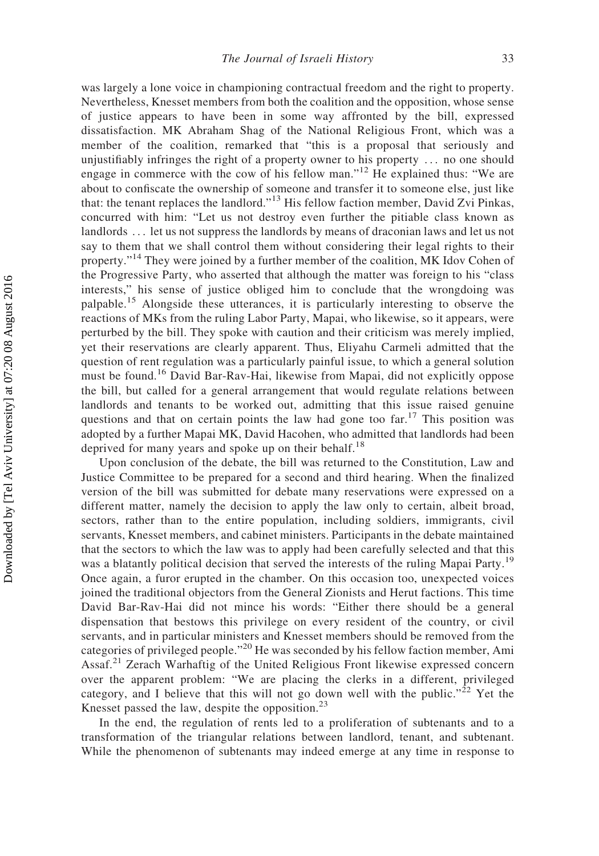was largely a lone voice in championing contractual freedom and the right to property. Nevertheless, Knesset members from both the coalition and the opposition, whose sense of justice appears to have been in some way affronted by the bill, expressed dissatisfaction. MK Abraham Shag of the National Religious Front, which was a member of the coalition, remarked that "this is a proposal that seriously and unjustifiably infringes the right of a property owner to his property ... no one should engage in commerce with the cow of his fellow man."<sup>12</sup> He explained thus: "We are about to confiscate the ownership of someone and transfer it to someone else, just like that: the tenant replaces the landlord."<sup>13</sup> His fellow faction member, David Zvi Pinkas, concurred with him: "Let us not destroy even further the pitiable class known as landlords ... let us not suppress the landlords by means of draconian laws and let us not say to them that we shall control them without considering their legal rights to their property."<sup>14</sup> They were joined by a further member of the coalition, MK Idov Cohen of the Progressive Party, who asserted that although the matter was foreign to his "class interests," his sense of justice obliged him to conclude that the wrongdoing was palpable.<sup>15</sup> Alongside these utterances, it is particularly interesting to observe the reactions of MKs from the ruling Labor Party, Mapai, who likewise, so it appears, were perturbed by the bill. They spoke with caution and their criticism was merely implied, yet their reservations are clearly apparent. Thus, Eliyahu Carmeli admitted that the question of rent regulation was a particularly painful issue, to which a general solution must be found.<sup>16</sup> David Bar-Rav-Hai, likewise from Mapai, did not explicitly oppose the bill, but called for a general arrangement that would regulate relations between landlords and tenants to be worked out, admitting that this issue raised genuine questions and that on certain points the law had gone too far.<sup>17</sup> This position was adopted by a further Mapai MK, David Hacohen, who admitted that landlords had been deprived for many years and spoke up on their behalf.<sup>18</sup>

Upon conclusion of the debate, the bill was returned to the Constitution, Law and Justice Committee to be prepared for a second and third hearing. When the finalized version of the bill was submitted for debate many reservations were expressed on a different matter, namely the decision to apply the law only to certain, albeit broad, sectors, rather than to the entire population, including soldiers, immigrants, civil servants, Knesset members, and cabinet ministers. Participants in the debate maintained that the sectors to which the law was to apply had been carefully selected and that this was a blatantly political decision that served the interests of the ruling Mapai Party.<sup>19</sup> Once again, a furor erupted in the chamber. On this occasion too, unexpected voices joined the traditional objectors from the General Zionists and Herut factions. This time David Bar-Rav-Hai did not mince his words: "Either there should be a general dispensation that bestows this privilege on every resident of the country, or civil servants, and in particular ministers and Knesset members should be removed from the categories of privileged people."<sup>20</sup> He was seconded by his fellow faction member, Ami Assaf.<sup>21</sup> Zerach Warhaftig of the United Religious Front likewise expressed concern over the apparent problem: "We are placing the clerks in a different, privileged category, and I believe that this will not go down well with the public."<sup>22</sup> Yet the Knesset passed the law, despite the opposition.<sup>23</sup>

In the end, the regulation of rents led to a proliferation of subtenants and to a transformation of the triangular relations between landlord, tenant, and subtenant. While the phenomenon of subtenants may indeed emerge at any time in response to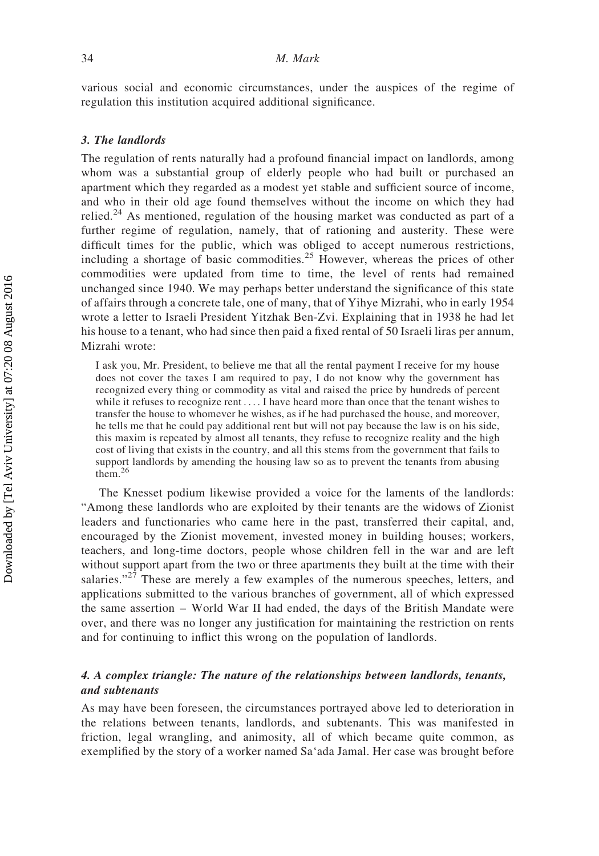various social and economic circumstances, under the auspices of the regime of regulation this institution acquired additional significance.

## 3. The landlords

The regulation of rents naturally had a profound financial impact on landlords, among whom was a substantial group of elderly people who had built or purchased an apartment which they regarded as a modest yet stable and sufficient source of income, and who in their old age found themselves without the income on which they had relied.<sup>24</sup> As mentioned, regulation of the housing market was conducted as part of a further regime of regulation, namely, that of rationing and austerity. These were difficult times for the public, which was obliged to accept numerous restrictions, including a shortage of basic commodities.<sup>25</sup> However, whereas the prices of other commodities were updated from time to time, the level of rents had remained unchanged since 1940. We may perhaps better understand the significance of this state of affairs through a concrete tale, one of many, that of Yihye Mizrahi, who in early 1954 wrote a letter to Israeli President Yitzhak Ben-Zvi. Explaining that in 1938 he had let his house to a tenant, who had since then paid a fixed rental of 50 Israeli liras per annum, Mizrahi wrote:

I ask you, Mr. President, to believe me that all the rental payment I receive for my house does not cover the taxes I am required to pay, I do not know why the government has recognized every thing or commodity as vital and raised the price by hundreds of percent while it refuses to recognize rent .... I have heard more than once that the tenant wishes to transfer the house to whomever he wishes, as if he had purchased the house, and moreover, he tells me that he could pay additional rent but will not pay because the law is on his side, this maxim is repeated by almost all tenants, they refuse to recognize reality and the high cost of living that exists in the country, and all this stems from the government that fails to support landlords by amending the housing law so as to prevent the tenants from abusing them. $26$ 

The Knesset podium likewise provided a voice for the laments of the landlords: "Among these landlords who are exploited by their tenants are the widows of Zionist leaders and functionaries who came here in the past, transferred their capital, and, encouraged by the Zionist movement, invested money in building houses; workers, teachers, and long-time doctors, people whose children fell in the war and are left without support apart from the two or three apartments they built at the time with their salaries."<sup>27</sup> These are merely a few examples of the numerous speeches, letters, and applications submitted to the various branches of government, all of which expressed the same assertion – World War II had ended, the days of the British Mandate were over, and there was no longer any justification for maintaining the restriction on rents and for continuing to inflict this wrong on the population of landlords.

## 4. A complex triangle: The nature of the relationships between landlords, tenants, and subtenants

As may have been foreseen, the circumstances portrayed above led to deterioration in the relations between tenants, landlords, and subtenants. This was manifested in friction, legal wrangling, and animosity, all of which became quite common, as exemplified by the story of a worker named Sa'ada Jamal. Her case was brought before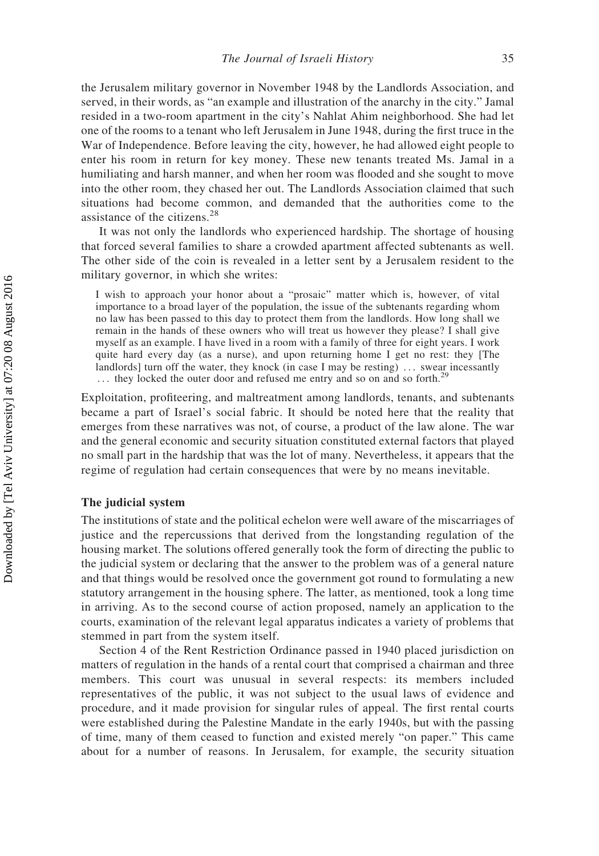the Jerusalem military governor in November 1948 by the Landlords Association, and served, in their words, as "an example and illustration of the anarchy in the city." Jamal resided in a two-room apartment in the city's Nahlat Ahim neighborhood. She had let one of the rooms to a tenant who left Jerusalem in June 1948, during the first truce in the War of Independence. Before leaving the city, however, he had allowed eight people to enter his room in return for key money. These new tenants treated Ms. Jamal in a humiliating and harsh manner, and when her room was flooded and she sought to move into the other room, they chased her out. The Landlords Association claimed that such situations had become common, and demanded that the authorities come to the assistance of the citizens.<sup>28</sup>

It was not only the landlords who experienced hardship. The shortage of housing that forced several families to share a crowded apartment affected subtenants as well. The other side of the coin is revealed in a letter sent by a Jerusalem resident to the military governor, in which she writes:

I wish to approach your honor about a "prosaic" matter which is, however, of vital importance to a broad layer of the population, the issue of the subtenants regarding whom no law has been passed to this day to protect them from the landlords. How long shall we remain in the hands of these owners who will treat us however they please? I shall give myself as an example. I have lived in a room with a family of three for eight years. I work quite hard every day (as a nurse), and upon returning home I get no rest: they [The landlords] turn off the water, they knock (in case I may be resting) ... swear incessantly ... they locked the outer door and refused me entry and so on and so forth.<sup>29</sup>

Exploitation, profiteering, and maltreatment among landlords, tenants, and subtenants became a part of Israel's social fabric. It should be noted here that the reality that emerges from these narratives was not, of course, a product of the law alone. The war and the general economic and security situation constituted external factors that played no small part in the hardship that was the lot of many. Nevertheless, it appears that the regime of regulation had certain consequences that were by no means inevitable.

## The judicial system

The institutions of state and the political echelon were well aware of the miscarriages of justice and the repercussions that derived from the longstanding regulation of the housing market. The solutions offered generally took the form of directing the public to the judicial system or declaring that the answer to the problem was of a general nature and that things would be resolved once the government got round to formulating a new statutory arrangement in the housing sphere. The latter, as mentioned, took a long time in arriving. As to the second course of action proposed, namely an application to the courts, examination of the relevant legal apparatus indicates a variety of problems that stemmed in part from the system itself.

Section 4 of the Rent Restriction Ordinance passed in 1940 placed jurisdiction on matters of regulation in the hands of a rental court that comprised a chairman and three members. This court was unusual in several respects: its members included representatives of the public, it was not subject to the usual laws of evidence and procedure, and it made provision for singular rules of appeal. The first rental courts were established during the Palestine Mandate in the early 1940s, but with the passing of time, many of them ceased to function and existed merely "on paper." This came about for a number of reasons. In Jerusalem, for example, the security situation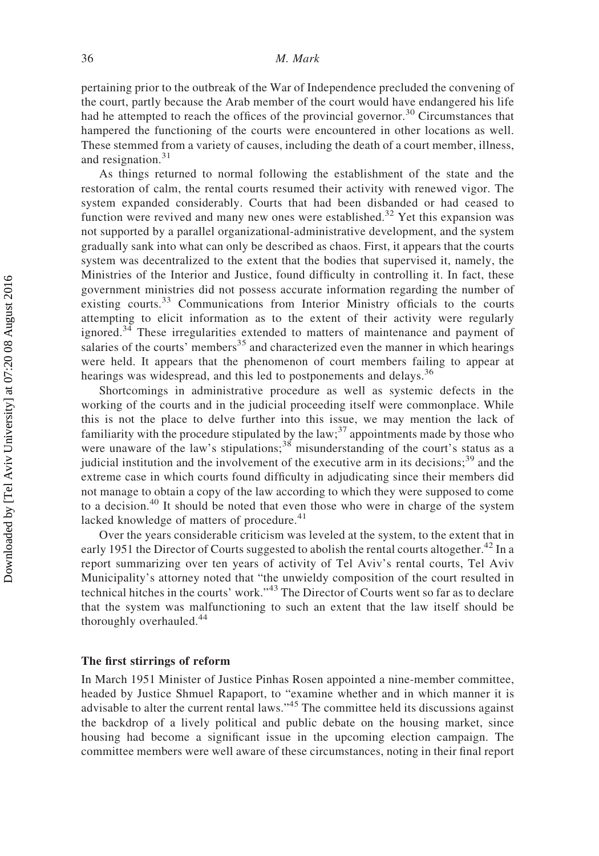### 36 M. Mark

pertaining prior to the outbreak of the War of Independence precluded the convening of the court, partly because the Arab member of the court would have endangered his life had he attempted to reach the offices of the provincial governor.<sup>30</sup> Circumstances that hampered the functioning of the courts were encountered in other locations as well. These stemmed from a variety of causes, including the death of a court member, illness, and resignation.<sup>31</sup>

As things returned to normal following the establishment of the state and the restoration of calm, the rental courts resumed their activity with renewed vigor. The system expanded considerably. Courts that had been disbanded or had ceased to function were revived and many new ones were established.<sup>32</sup> Yet this expansion was not supported by a parallel organizational-administrative development, and the system gradually sank into what can only be described as chaos. First, it appears that the courts system was decentralized to the extent that the bodies that supervised it, namely, the Ministries of the Interior and Justice, found difficulty in controlling it. In fact, these government ministries did not possess accurate information regarding the number of existing courts.<sup>33</sup> Communications from Interior Ministry officials to the courts attempting to elicit information as to the extent of their activity were regularly ignored.<sup>34</sup> These irregularities extended to matters of maintenance and payment of salaries of the courts' members<sup>35</sup> and characterized even the manner in which hearings were held. It appears that the phenomenon of court members failing to appear at hearings was widespread, and this led to postponements and delays.<sup>36</sup>

Shortcomings in administrative procedure as well as systemic defects in the working of the courts and in the judicial proceeding itself were commonplace. While this is not the place to delve further into this issue, we may mention the lack of familiarity with the procedure stipulated by the law; $37$  appointments made by those who were unaware of the law's stipulations;<sup>38</sup> misunderstanding of the court's status as a judicial institution and the involvement of the executive arm in its decisions;<sup>39</sup> and the extreme case in which courts found difficulty in adjudicating since their members did not manage to obtain a copy of the law according to which they were supposed to come to a decision.<sup>40</sup> It should be noted that even those who were in charge of the system lacked knowledge of matters of procedure.<sup>41</sup>

Over the years considerable criticism was leveled at the system, to the extent that in early 1951 the Director of Courts suggested to abolish the rental courts altogether.<sup>42</sup> In a report summarizing over ten years of activity of Tel Aviv's rental courts, Tel Aviv Municipality's attorney noted that "the unwieldy composition of the court resulted in technical hitches in the courts' work."<sup>43</sup> The Director of Courts went so far as to declare that the system was malfunctioning to such an extent that the law itself should be thoroughly overhauled.<sup>44</sup>

## The first stirrings of reform

In March 1951 Minister of Justice Pinhas Rosen appointed a nine-member committee, headed by Justice Shmuel Rapaport, to "examine whether and in which manner it is advisable to alter the current rental laws."<sup>45</sup> The committee held its discussions against the backdrop of a lively political and public debate on the housing market, since housing had become a significant issue in the upcoming election campaign. The committee members were well aware of these circumstances, noting in their final report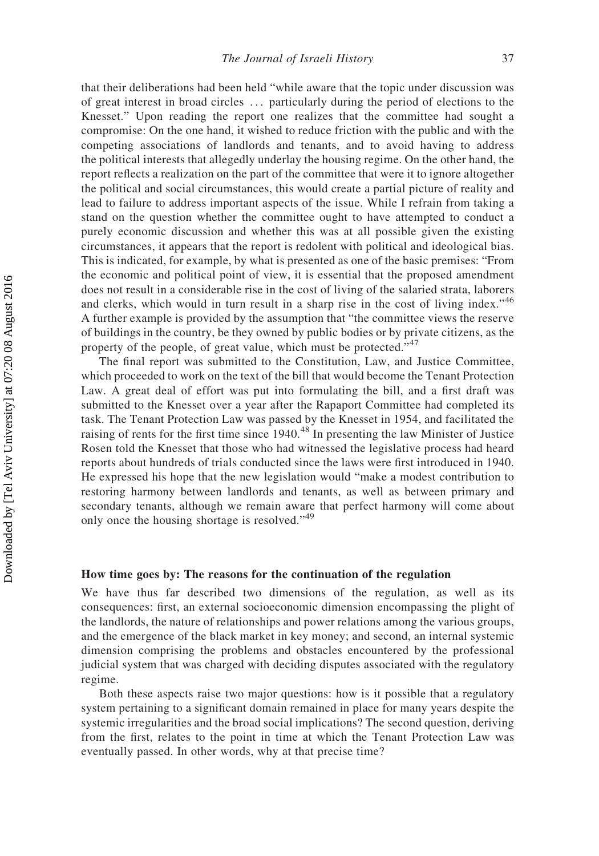that their deliberations had been held "while aware that the topic under discussion was of great interest in broad circles ... particularly during the period of elections to the Knesset." Upon reading the report one realizes that the committee had sought a compromise: On the one hand, it wished to reduce friction with the public and with the competing associations of landlords and tenants, and to avoid having to address the political interests that allegedly underlay the housing regime. On the other hand, the report reflects a realization on the part of the committee that were it to ignore altogether the political and social circumstances, this would create a partial picture of reality and lead to failure to address important aspects of the issue. While I refrain from taking a stand on the question whether the committee ought to have attempted to conduct a purely economic discussion and whether this was at all possible given the existing circumstances, it appears that the report is redolent with political and ideological bias. This is indicated, for example, by what is presented as one of the basic premises: "From the economic and political point of view, it is essential that the proposed amendment does not result in a considerable rise in the cost of living of the salaried strata, laborers and clerks, which would in turn result in a sharp rise in the cost of living index."<sup>46</sup> A further example is provided by the assumption that "the committee views the reserve of buildings in the country, be they owned by public bodies or by private citizens, as the property of the people, of great value, which must be protected."<sup>47</sup>

The final report was submitted to the Constitution, Law, and Justice Committee, which proceeded to work on the text of the bill that would become the Tenant Protection Law. A great deal of effort was put into formulating the bill, and a first draft was submitted to the Knesset over a year after the Rapaport Committee had completed its task. The Tenant Protection Law was passed by the Knesset in 1954, and facilitated the raising of rents for the first time since 1940.<sup>48</sup> In presenting the law Minister of Justice Rosen told the Knesset that those who had witnessed the legislative process had heard reports about hundreds of trials conducted since the laws were first introduced in 1940. He expressed his hope that the new legislation would "make a modest contribution to restoring harmony between landlords and tenants, as well as between primary and secondary tenants, although we remain aware that perfect harmony will come about only once the housing shortage is resolved."<sup>49</sup>

## How time goes by: The reasons for the continuation of the regulation

We have thus far described two dimensions of the regulation, as well as its consequences: first, an external socioeconomic dimension encompassing the plight of the landlords, the nature of relationships and power relations among the various groups, and the emergence of the black market in key money; and second, an internal systemic dimension comprising the problems and obstacles encountered by the professional judicial system that was charged with deciding disputes associated with the regulatory regime.

Both these aspects raise two major questions: how is it possible that a regulatory system pertaining to a significant domain remained in place for many years despite the systemic irregularities and the broad social implications? The second question, deriving from the first, relates to the point in time at which the Tenant Protection Law was eventually passed. In other words, why at that precise time?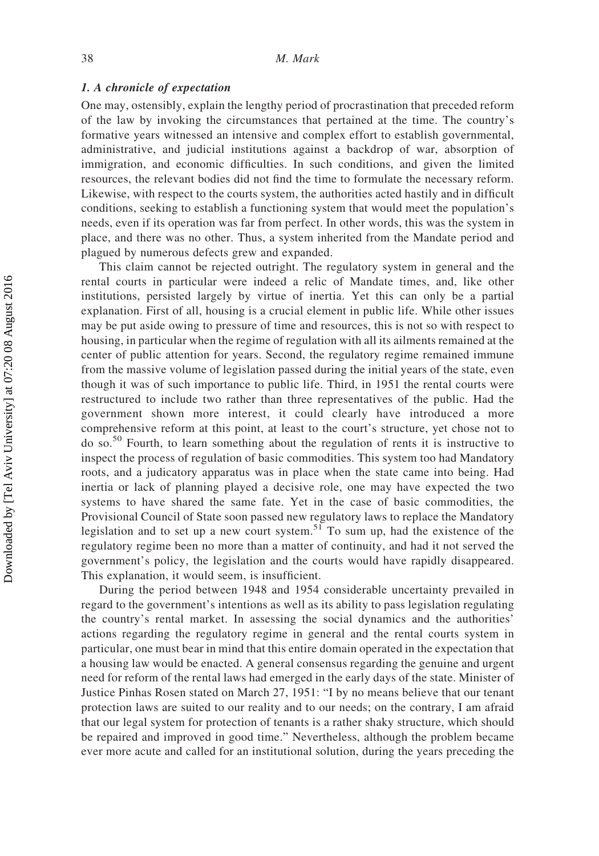## 1. A chronicle of expectation

One may, ostensibly, explain the lengthy period of procrastination that preceded reform of the law by invoking the circumstances that pertained at the time. The country's formative years witnessed an intensive and complex effort to establish governmental, administrative, and judicial institutions against a backdrop of war, absorption of immigration, and economic difficulties. In such conditions, and given the limited resources, the relevant bodies did not find the time to formulate the necessary reform. Likewise, with respect to the courts system, the authorities acted hastily and in difficult conditions, seeking to establish a functioning system that would meet the population's needs, even if its operation was far from perfect. In other words, this was the system in place, and there was no other. Thus, a system inherited from the Mandate period and plagued by numerous defects grew and expanded.

This claim cannot be rejected outright. The regulatory system in general and the rental courts in particular were indeed a relic of Mandate times, and, like other institutions, persisted largely by virtue of inertia. Yet this can only be a partial explanation. First of all, housing is a crucial element in public life. While other issues may be put aside owing to pressure of time and resources, this is not so with respect to housing, in particular when the regime of regulation with all its ailments remained at the center of public attention for years. Second, the regulatory regime remained immune from the massive volume of legislation passed during the initial years of the state, even though it was of such importance to public life. Third, in 1951 the rental courts were restructured to include two rather than three representatives of the public. Had the government shown more interest, it could clearly have introduced a more comprehensive reform at this point, at least to the court's structure, yet chose not to do so.<sup>50</sup> Fourth, to learn something about the regulation of rents it is instructive to inspect the process of regulation of basic commodities. This system too had Mandatory roots, and a judicatory apparatus was in place when the state came into being. Had inertia or lack of planning played a decisive role, one may have expected the two systems to have shared the same fate. Yet in the case of basic commodities, the Provisional Council of State soon passed new regulatory laws to replace the Mandatory legislation and to set up a new court system.<sup>51</sup> To sum up, had the existence of the regulatory regime been no more than a matter of continuity, and had it not served the government's policy, the legislation and the courts would have rapidly disappeared. This explanation, it would seem, is insufficient.

During the period between 1948 and 1954 considerable uncertainty prevailed in regard to the government's intentions as well as its ability to pass legislation regulating the country's rental market. In assessing the social dynamics and the authorities' actions regarding the regulatory regime in general and the rental courts system in particular, one must bear in mind that this entire domain operated in the expectation that a housing law would be enacted. A general consensus regarding the genuine and urgent need for reform of the rental laws had emerged in the early days of the state. Minister of Justice Pinhas Rosen stated on March 27, 1951: "I by no means believe that our tenant protection laws are suited to our reality and to our needs; on the contrary, I am afraid that our legal system for protection of tenants is a rather shaky structure, which should be repaired and improved in good time." Nevertheless, although the problem became ever more acute and called for an institutional solution, during the years preceding the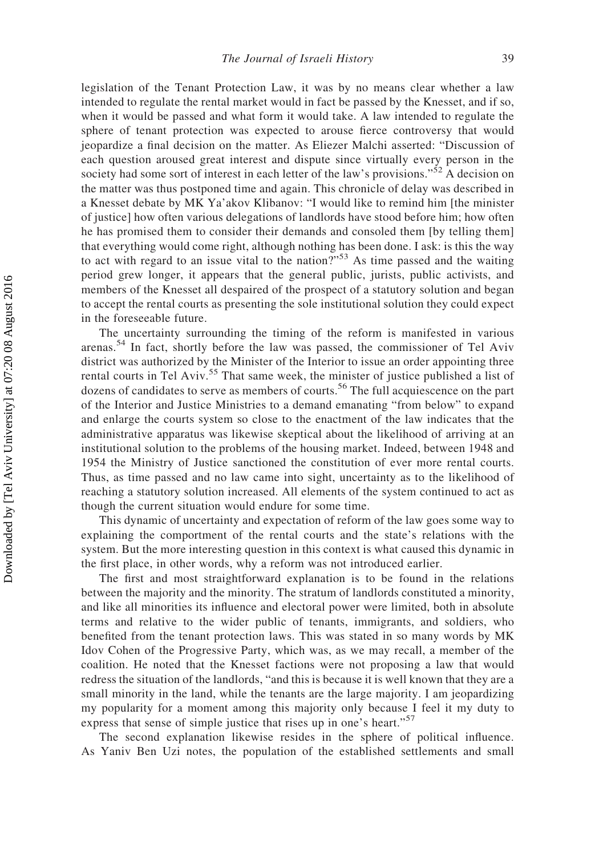legislation of the Tenant Protection Law, it was by no means clear whether a law intended to regulate the rental market would in fact be passed by the Knesset, and if so, when it would be passed and what form it would take. A law intended to regulate the sphere of tenant protection was expected to arouse fierce controversy that would jeopardize a final decision on the matter. As Eliezer Malchi asserted: "Discussion of each question aroused great interest and dispute since virtually every person in the society had some sort of interest in each letter of the law's provisions." $52$  A decision on the matter was thus postponed time and again. This chronicle of delay was described in a Knesset debate by MK Ya'akov Klibanov: "I would like to remind him [the minister of justice] how often various delegations of landlords have stood before him; how often he has promised them to consider their demands and consoled them [by telling them] that everything would come right, although nothing has been done. I ask: is this the way to act with regard to an issue vital to the nation?"<sup>53</sup> As time passed and the waiting period grew longer, it appears that the general public, jurists, public activists, and members of the Knesset all despaired of the prospect of a statutory solution and began to accept the rental courts as presenting the sole institutional solution they could expect in the foreseeable future.

The uncertainty surrounding the timing of the reform is manifested in various arenas.<sup>54</sup> In fact, shortly before the law was passed, the commissioner of Tel Aviv district was authorized by the Minister of the Interior to issue an order appointing three rental courts in Tel Aviv.<sup>55</sup> That same week, the minister of justice published a list of dozens of candidates to serve as members of courts.<sup>56</sup> The full acquiescence on the part of the Interior and Justice Ministries to a demand emanating "from below" to expand and enlarge the courts system so close to the enactment of the law indicates that the administrative apparatus was likewise skeptical about the likelihood of arriving at an institutional solution to the problems of the housing market. Indeed, between 1948 and 1954 the Ministry of Justice sanctioned the constitution of ever more rental courts. Thus, as time passed and no law came into sight, uncertainty as to the likelihood of reaching a statutory solution increased. All elements of the system continued to act as though the current situation would endure for some time.

This dynamic of uncertainty and expectation of reform of the law goes some way to explaining the comportment of the rental courts and the state's relations with the system. But the more interesting question in this context is what caused this dynamic in the first place, in other words, why a reform was not introduced earlier.

The first and most straightforward explanation is to be found in the relations between the majority and the minority. The stratum of landlords constituted a minority, and like all minorities its influence and electoral power were limited, both in absolute terms and relative to the wider public of tenants, immigrants, and soldiers, who benefited from the tenant protection laws. This was stated in so many words by MK Idov Cohen of the Progressive Party, which was, as we may recall, a member of the coalition. He noted that the Knesset factions were not proposing a law that would redress the situation of the landlords, "and this is because it is well known that they are a small minority in the land, while the tenants are the large majority. I am jeopardizing my popularity for a moment among this majority only because I feel it my duty to express that sense of simple justice that rises up in one's heart."<sup>57</sup>

The second explanation likewise resides in the sphere of political influence. As Yaniv Ben Uzi notes, the population of the established settlements and small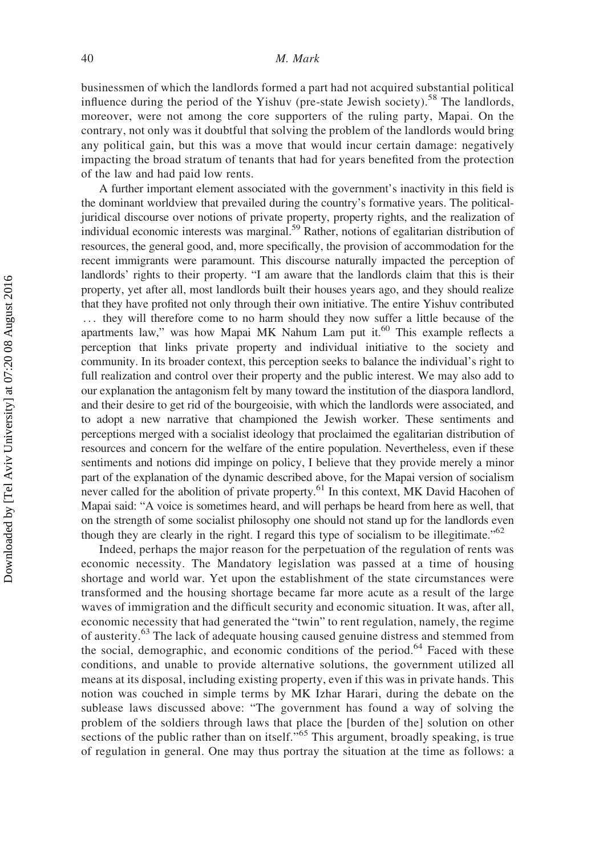#### 40 M. Mark

businessmen of which the landlords formed a part had not acquired substantial political influence during the period of the Yishuv (pre-state Jewish society).<sup>58</sup> The landlords, moreover, were not among the core supporters of the ruling party, Mapai. On the contrary, not only was it doubtful that solving the problem of the landlords would bring any political gain, but this was a move that would incur certain damage: negatively impacting the broad stratum of tenants that had for years benefited from the protection of the law and had paid low rents.

A further important element associated with the government's inactivity in this field is the dominant worldview that prevailed during the country's formative years. The politicaljuridical discourse over notions of private property, property rights, and the realization of individual economic interests was marginal.59 Rather, notions of egalitarian distribution of resources, the general good, and, more specifically, the provision of accommodation for the recent immigrants were paramount. This discourse naturally impacted the perception of landlords' rights to their property. "I am aware that the landlords claim that this is their property, yet after all, most landlords built their houses years ago, and they should realize that they have profited not only through their own initiative. The entire Yishuv contributed ... they will therefore come to no harm should they now suffer a little because of the apartments law," was how Mapai MK Nahum Lam put it. $60$  This example reflects a perception that links private property and individual initiative to the society and community. In its broader context, this perception seeks to balance the individual's right to full realization and control over their property and the public interest. We may also add to our explanation the antagonism felt by many toward the institution of the diaspora landlord, and their desire to get rid of the bourgeoisie, with which the landlords were associated, and to adopt a new narrative that championed the Jewish worker. These sentiments and perceptions merged with a socialist ideology that proclaimed the egalitarian distribution of resources and concern for the welfare of the entire population. Nevertheless, even if these sentiments and notions did impinge on policy, I believe that they provide merely a minor part of the explanation of the dynamic described above, for the Mapai version of socialism never called for the abolition of private property.61 In this context, MK David Hacohen of Mapai said: "A voice is sometimes heard, and will perhaps be heard from here as well, that on the strength of some socialist philosophy one should not stand up for the landlords even though they are clearly in the right. I regard this type of socialism to be illegitimate."<sup>62</sup>

Indeed, perhaps the major reason for the perpetuation of the regulation of rents was economic necessity. The Mandatory legislation was passed at a time of housing shortage and world war. Yet upon the establishment of the state circumstances were transformed and the housing shortage became far more acute as a result of the large waves of immigration and the difficult security and economic situation. It was, after all, economic necessity that had generated the "twin" to rent regulation, namely, the regime of austerity.<sup>63</sup> The lack of adequate housing caused genuine distress and stemmed from the social, demographic, and economic conditions of the period.<sup>64</sup> Faced with these conditions, and unable to provide alternative solutions, the government utilized all means at its disposal, including existing property, even if this was in private hands. This notion was couched in simple terms by MK Izhar Harari, during the debate on the sublease laws discussed above: "The government has found a way of solving the problem of the soldiers through laws that place the [burden of the] solution on other sections of the public rather than on itself."<sup>65</sup> This argument, broadly speaking, is true of regulation in general. One may thus portray the situation at the time as follows: a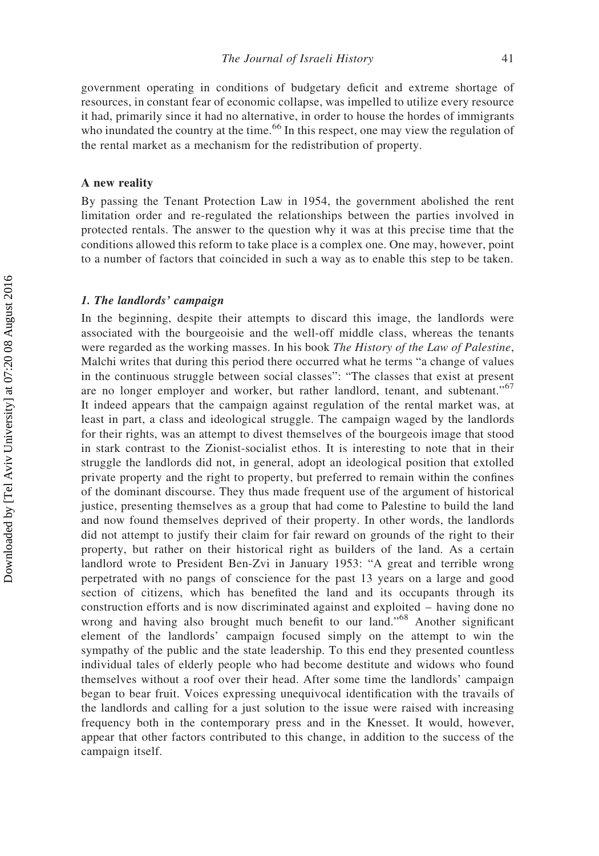government operating in conditions of budgetary deficit and extreme shortage of resources, in constant fear of economic collapse, was impelled to utilize every resource it had, primarily since it had no alternative, in order to house the hordes of immigrants who inundated the country at the time.<sup>66</sup> In this respect, one may view the regulation of the rental market as a mechanism for the redistribution of property.

#### A new reality

By passing the Tenant Protection Law in 1954, the government abolished the rent limitation order and re-regulated the relationships between the parties involved in protected rentals. The answer to the question why it was at this precise time that the conditions allowed this reform to take place is a complex one. One may, however, point to a number of factors that coincided in such a way as to enable this step to be taken.

#### 1. The landlords' campaign

In the beginning, despite their attempts to discard this image, the landlords were associated with the bourgeoisie and the well-off middle class, whereas the tenants were regarded as the working masses. In his book The History of the Law of Palestine, Malchi writes that during this period there occurred what he terms "a change of values in the continuous struggle between social classes": "The classes that exist at present are no longer employer and worker, but rather landlord, tenant, and subtenant."<sup>67</sup> It indeed appears that the campaign against regulation of the rental market was, at least in part, a class and ideological struggle. The campaign waged by the landlords for their rights, was an attempt to divest themselves of the bourgeois image that stood in stark contrast to the Zionist-socialist ethos. It is interesting to note that in their struggle the landlords did not, in general, adopt an ideological position that extolled private property and the right to property, but preferred to remain within the confines of the dominant discourse. They thus made frequent use of the argument of historical justice, presenting themselves as a group that had come to Palestine to build the land and now found themselves deprived of their property. In other words, the landlords did not attempt to justify their claim for fair reward on grounds of the right to their property, but rather on their historical right as builders of the land. As a certain landlord wrote to President Ben-Zvi in January 1953: "A great and terrible wrong perpetrated with no pangs of conscience for the past 13 years on a large and good section of citizens, which has benefited the land and its occupants through its construction efforts and is now discriminated against and exploited – having done no wrong and having also brought much benefit to our land."<sup>68</sup> Another significant element of the landlords' campaign focused simply on the attempt to win the sympathy of the public and the state leadership. To this end they presented countless individual tales of elderly people who had become destitute and widows who found themselves without a roof over their head. After some time the landlords' campaign began to bear fruit. Voices expressing unequivocal identification with the travails of the landlords and calling for a just solution to the issue were raised with increasing frequency both in the contemporary press and in the Knesset. It would, however, appear that other factors contributed to this change, in addition to the success of the campaign itself.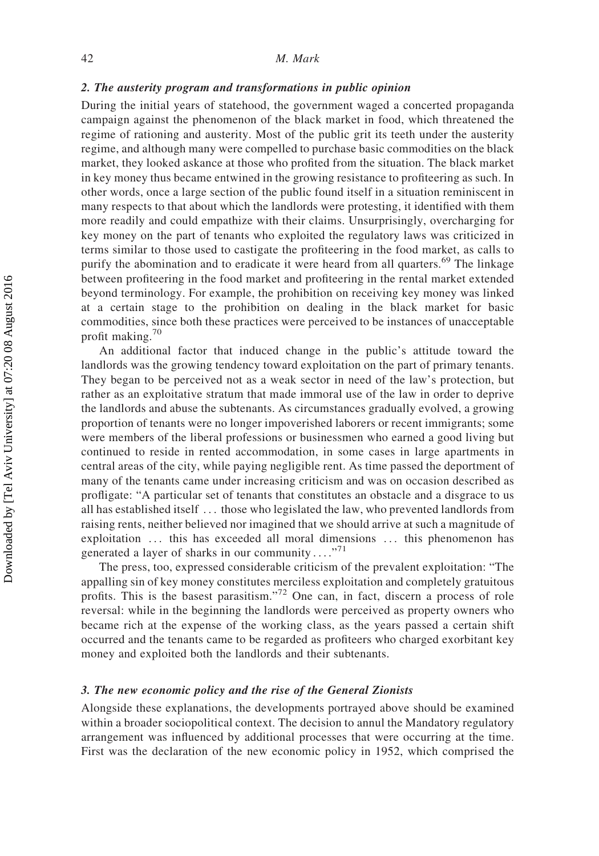## 2. The austerity program and transformations in public opinion

During the initial years of statehood, the government waged a concerted propaganda campaign against the phenomenon of the black market in food, which threatened the regime of rationing and austerity. Most of the public grit its teeth under the austerity regime, and although many were compelled to purchase basic commodities on the black market, they looked askance at those who profited from the situation. The black market in key money thus became entwined in the growing resistance to profiteering as such. In other words, once a large section of the public found itself in a situation reminiscent in many respects to that about which the landlords were protesting, it identified with them more readily and could empathize with their claims. Unsurprisingly, overcharging for key money on the part of tenants who exploited the regulatory laws was criticized in terms similar to those used to castigate the profiteering in the food market, as calls to purify the abomination and to eradicate it were heard from all quarters.<sup>69</sup> The linkage between profiteering in the food market and profiteering in the rental market extended beyond terminology. For example, the prohibition on receiving key money was linked at a certain stage to the prohibition on dealing in the black market for basic commodities, since both these practices were perceived to be instances of unacceptable profit making.<sup>70</sup>

An additional factor that induced change in the public's attitude toward the landlords was the growing tendency toward exploitation on the part of primary tenants. They began to be perceived not as a weak sector in need of the law's protection, but rather as an exploitative stratum that made immoral use of the law in order to deprive the landlords and abuse the subtenants. As circumstances gradually evolved, a growing proportion of tenants were no longer impoverished laborers or recent immigrants; some were members of the liberal professions or businessmen who earned a good living but continued to reside in rented accommodation, in some cases in large apartments in central areas of the city, while paying negligible rent. As time passed the deportment of many of the tenants came under increasing criticism and was on occasion described as profligate: "A particular set of tenants that constitutes an obstacle and a disgrace to us all has established itself ... those who legislated the law, who prevented landlords from raising rents, neither believed nor imagined that we should arrive at such a magnitude of exploitation ... this has exceeded all moral dimensions ... this phenomenon has generated a layer of sharks in our community ...."<sup>71</sup>

The press, too, expressed considerable criticism of the prevalent exploitation: "The appalling sin of key money constitutes merciless exploitation and completely gratuitous profits. This is the basest parasitism."<sup>72</sup> One can, in fact, discern a process of role reversal: while in the beginning the landlords were perceived as property owners who became rich at the expense of the working class, as the years passed a certain shift occurred and the tenants came to be regarded as profiteers who charged exorbitant key money and exploited both the landlords and their subtenants.

## 3. The new economic policy and the rise of the General Zionists

Alongside these explanations, the developments portrayed above should be examined within a broader sociopolitical context. The decision to annul the Mandatory regulatory arrangement was influenced by additional processes that were occurring at the time. First was the declaration of the new economic policy in 1952, which comprised the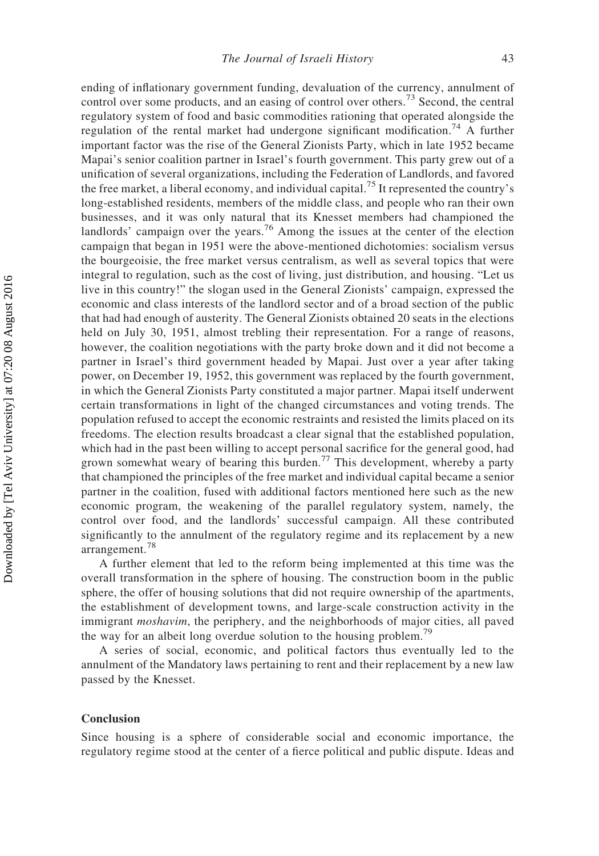ending of inflationary government funding, devaluation of the currency, annulment of control over some products, and an easing of control over others.<sup>73</sup> Second, the central regulatory system of food and basic commodities rationing that operated alongside the regulation of the rental market had undergone significant modification.<sup>74</sup> A further important factor was the rise of the General Zionists Party, which in late 1952 became Mapai's senior coalition partner in Israel's fourth government. This party grew out of a unification of several organizations, including the Federation of Landlords, and favored the free market, a liberal economy, and individual capital.<sup>75</sup> It represented the country's long-established residents, members of the middle class, and people who ran their own businesses, and it was only natural that its Knesset members had championed the landlords' campaign over the years.<sup>76</sup> Among the issues at the center of the election campaign that began in 1951 were the above-mentioned dichotomies: socialism versus the bourgeoisie, the free market versus centralism, as well as several topics that were integral to regulation, such as the cost of living, just distribution, and housing. "Let us live in this country!" the slogan used in the General Zionists' campaign, expressed the economic and class interests of the landlord sector and of a broad section of the public that had had enough of austerity. The General Zionists obtained 20 seats in the elections held on July 30, 1951, almost trebling their representation. For a range of reasons, however, the coalition negotiations with the party broke down and it did not become a partner in Israel's third government headed by Mapai. Just over a year after taking power, on December 19, 1952, this government was replaced by the fourth government, in which the General Zionists Party constituted a major partner. Mapai itself underwent certain transformations in light of the changed circumstances and voting trends. The population refused to accept the economic restraints and resisted the limits placed on its freedoms. The election results broadcast a clear signal that the established population, which had in the past been willing to accept personal sacrifice for the general good, had grown somewhat weary of bearing this burden.<sup>77</sup> This development, whereby a party that championed the principles of the free market and individual capital became a senior partner in the coalition, fused with additional factors mentioned here such as the new economic program, the weakening of the parallel regulatory system, namely, the control over food, and the landlords' successful campaign. All these contributed significantly to the annulment of the regulatory regime and its replacement by a new arrangement.<sup>78</sup>

A further element that led to the reform being implemented at this time was the overall transformation in the sphere of housing. The construction boom in the public sphere, the offer of housing solutions that did not require ownership of the apartments, the establishment of development towns, and large-scale construction activity in the immigrant *moshavim*, the periphery, and the neighborhoods of major cities, all paved the way for an albeit long overdue solution to the housing problem.<sup>79</sup>

A series of social, economic, and political factors thus eventually led to the annulment of the Mandatory laws pertaining to rent and their replacement by a new law passed by the Knesset.

## Conclusion

Since housing is a sphere of considerable social and economic importance, the regulatory regime stood at the center of a fierce political and public dispute. Ideas and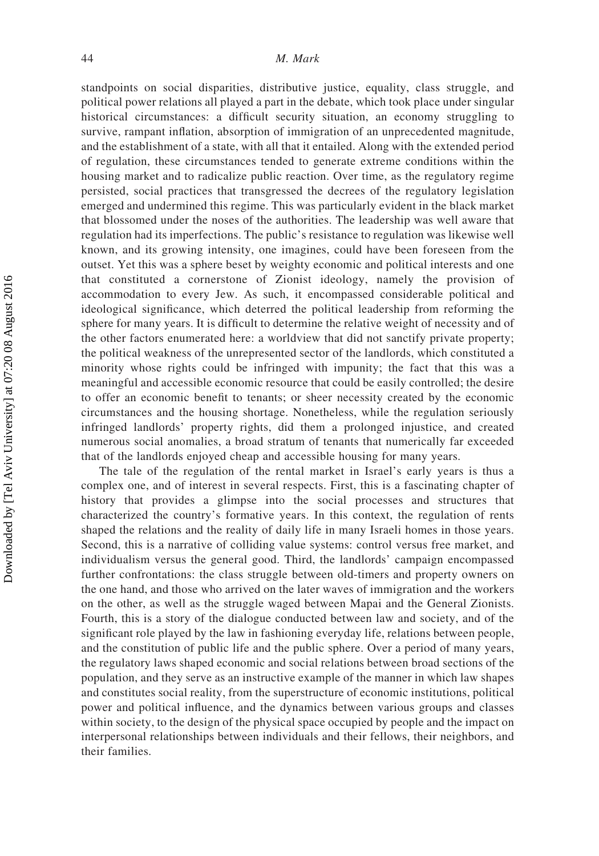#### 44 M. Mark

standpoints on social disparities, distributive justice, equality, class struggle, and political power relations all played a part in the debate, which took place under singular historical circumstances: a difficult security situation, an economy struggling to survive, rampant inflation, absorption of immigration of an unprecedented magnitude, and the establishment of a state, with all that it entailed. Along with the extended period of regulation, these circumstances tended to generate extreme conditions within the housing market and to radicalize public reaction. Over time, as the regulatory regime persisted, social practices that transgressed the decrees of the regulatory legislation emerged and undermined this regime. This was particularly evident in the black market that blossomed under the noses of the authorities. The leadership was well aware that regulation had its imperfections. The public's resistance to regulation was likewise well known, and its growing intensity, one imagines, could have been foreseen from the outset. Yet this was a sphere beset by weighty economic and political interests and one that constituted a cornerstone of Zionist ideology, namely the provision of accommodation to every Jew. As such, it encompassed considerable political and ideological significance, which deterred the political leadership from reforming the sphere for many years. It is difficult to determine the relative weight of necessity and of the other factors enumerated here: a worldview that did not sanctify private property; the political weakness of the unrepresented sector of the landlords, which constituted a minority whose rights could be infringed with impunity; the fact that this was a meaningful and accessible economic resource that could be easily controlled; the desire to offer an economic benefit to tenants; or sheer necessity created by the economic circumstances and the housing shortage. Nonetheless, while the regulation seriously infringed landlords' property rights, did them a prolonged injustice, and created numerous social anomalies, a broad stratum of tenants that numerically far exceeded that of the landlords enjoyed cheap and accessible housing for many years.

The tale of the regulation of the rental market in Israel's early years is thus a complex one, and of interest in several respects. First, this is a fascinating chapter of history that provides a glimpse into the social processes and structures that characterized the country's formative years. In this context, the regulation of rents shaped the relations and the reality of daily life in many Israeli homes in those years. Second, this is a narrative of colliding value systems: control versus free market, and individualism versus the general good. Third, the landlords' campaign encompassed further confrontations: the class struggle between old-timers and property owners on the one hand, and those who arrived on the later waves of immigration and the workers on the other, as well as the struggle waged between Mapai and the General Zionists. Fourth, this is a story of the dialogue conducted between law and society, and of the significant role played by the law in fashioning everyday life, relations between people, and the constitution of public life and the public sphere. Over a period of many years, the regulatory laws shaped economic and social relations between broad sections of the population, and they serve as an instructive example of the manner in which law shapes and constitutes social reality, from the superstructure of economic institutions, political power and political influence, and the dynamics between various groups and classes within society, to the design of the physical space occupied by people and the impact on interpersonal relationships between individuals and their fellows, their neighbors, and their families.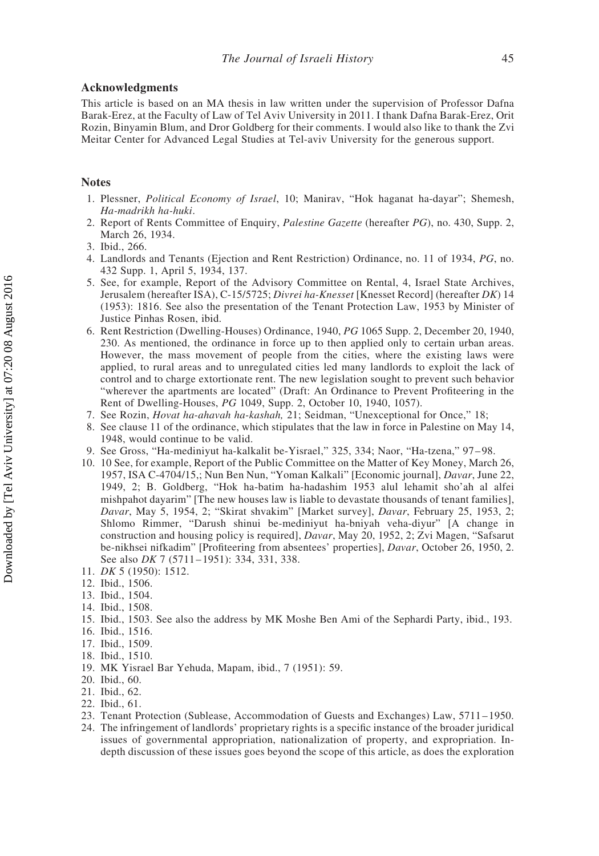#### Acknowledgments

This article is based on an MA thesis in law written under the supervision of Professor Dafna Barak-Erez, at the Faculty of Law of Tel Aviv University in 2011. I thank Dafna Barak-Erez, Orit Rozin, Binyamin Blum, and Dror Goldberg for their comments. I would also like to thank the Zvi Meitar Center for Advanced Legal Studies at Tel-aviv University for the generous support.

## Notes

- 1. Plessner, Political Economy of Israel, 10; Manirav, "Hok haganat ha-dayar"; Shemesh, Ha-madrikh ha-huki.
- 2. Report of Rents Committee of Enquiry, Palestine Gazette (hereafter PG), no. 430, Supp. 2, March 26, 1934.
- 3. Ibid., 266.
- 4. Landlords and Tenants (Ejection and Rent Restriction) Ordinance, no. 11 of 1934, PG, no. 432 Supp. 1, April 5, 1934, 137.
- 5. See, for example, Report of the Advisory Committee on Rental, 4, Israel State Archives, Jerusalem (hereafter ISA), C-15/5725; Divrei ha-Knesset [Knesset Record] (hereafter DK) 14 (1953): 1816. See also the presentation of the Tenant Protection Law, 1953 by Minister of Justice Pinhas Rosen, ibid.
- 6. Rent Restriction (Dwelling-Houses) Ordinance, 1940, PG 1065 Supp. 2, December 20, 1940, 230. As mentioned, the ordinance in force up to then applied only to certain urban areas. However, the mass movement of people from the cities, where the existing laws were applied, to rural areas and to unregulated cities led many landlords to exploit the lack of control and to charge extortionate rent. The new legislation sought to prevent such behavior "wherever the apartments are located" (Draft: An Ordinance to Prevent Profiteering in the Rent of Dwelling-Houses, PG 1049, Supp. 2, October 10, 1940, 1057).
- 7. See Rozin, Hovat ha-ahavah ha-kashah, 21; Seidman, "Unexceptional for Once," 18;
- 8. See clause 11 of the ordinance, which stipulates that the law in force in Palestine on May 14, 1948, would continue to be valid.
- 9. See Gross, "Ha-mediniyut ha-kalkalit be-Yisrael," 325, 334; Naor, "Ha-tzena," 97 98.
- 10. 10 See, for example, Report of the Public Committee on the Matter of Key Money, March 26, 1957, ISA C-4704/15,; Nun Ben Nun, "Yoman Kalkali" [Economic journal], Davar, June 22, 1949, 2; B. Goldberg, "Hok ha-batim ha-hadashim 1953 alul lehamit sho'ah al alfei mishpahot dayarim" [The new houses law is liable to devastate thousands of tenant families], Davar, May 5, 1954, 2; "Skirat shvakim" [Market survey], Davar, February 25, 1953, 2; Shlomo Rimmer, "Darush shinui be-mediniyut ha-bniyah veha-diyur" [A change in construction and housing policy is required], Davar, May 20, 1952, 2; Zvi Magen, "Safsarut be-nikhsei nifkadim" [Profiteering from absentees' properties], Davar, October 26, 1950, 2. See also DK 7 (5711-1951): 334, 331, 338.
- 11. DK 5 (1950): 1512.
- 12. Ibid., 1506.
- 13. Ibid., 1504.
- 14. Ibid., 1508.
- 15. Ibid., 1503. See also the address by MK Moshe Ben Ami of the Sephardi Party, ibid., 193.
- 16. Ibid., 1516.
- 17. Ibid., 1509.
- 18. Ibid., 1510.
- 19. MK Yisrael Bar Yehuda, Mapam, ibid., 7 (1951): 59.
- 20. Ibid., 60.
- 21. Ibid., 62.
- 22. Ibid., 61.
- 23. Tenant Protection (Sublease, Accommodation of Guests and Exchanges) Law, 5711 1950.
- 24. The infringement of landlords' proprietary rights is a specific instance of the broader juridical issues of governmental appropriation, nationalization of property, and expropriation. Indepth discussion of these issues goes beyond the scope of this article, as does the exploration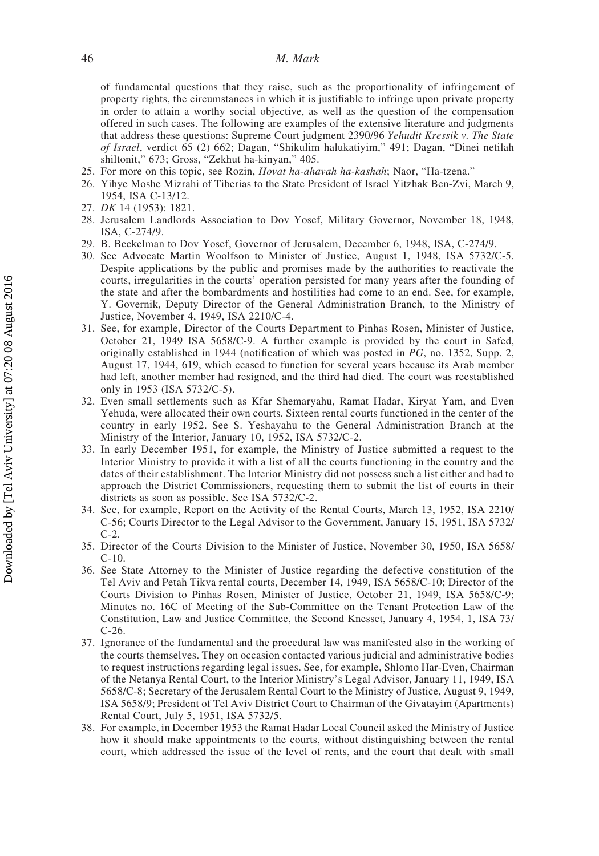of fundamental questions that they raise, such as the proportionality of infringement of property rights, the circumstances in which it is justifiable to infringe upon private property in order to attain a worthy social objective, as well as the question of the compensation offered in such cases. The following are examples of the extensive literature and judgments that address these questions: Supreme Court judgment 2390/96 Yehudit Kressik v. The State of Israel, verdict 65 (2) 662; Dagan, "Shikulim halukatiyim," 491; Dagan, "Dinei netilah shiltonit," 673; Gross, "Zekhut ha-kinyan," 405.

- 25. For more on this topic, see Rozin, Hovat ha-ahavah ha-kashah; Naor, "Ha-tzena."
- 26. Yihye Moshe Mizrahi of Tiberias to the State President of Israel Yitzhak Ben-Zvi, March 9, 1954, ISA C-13/12.
- 27. DK 14 (1953): 1821.
- 28. Jerusalem Landlords Association to Dov Yosef, Military Governor, November 18, 1948, ISA, C-274/9.
- 29. B. Beckelman to Dov Yosef, Governor of Jerusalem, December 6, 1948, ISA, C-274/9.
- 30. See Advocate Martin Woolfson to Minister of Justice, August 1, 1948, ISA 5732/C-5. Despite applications by the public and promises made by the authorities to reactivate the courts, irregularities in the courts' operation persisted for many years after the founding of the state and after the bombardments and hostilities had come to an end. See, for example, Y. Governik, Deputy Director of the General Administration Branch, to the Ministry of Justice, November 4, 1949, ISA 2210/C-4.
- 31. See, for example, Director of the Courts Department to Pinhas Rosen, Minister of Justice, October 21, 1949 ISA 5658/C-9. A further example is provided by the court in Safed, originally established in 1944 (notification of which was posted in PG, no. 1352, Supp. 2, August 17, 1944, 619, which ceased to function for several years because its Arab member had left, another member had resigned, and the third had died. The court was reestablished only in 1953 (ISA 5732/C-5).
- 32. Even small settlements such as Kfar Shemaryahu, Ramat Hadar, Kiryat Yam, and Even Yehuda, were allocated their own courts. Sixteen rental courts functioned in the center of the country in early 1952. See S. Yeshayahu to the General Administration Branch at the Ministry of the Interior, January 10, 1952, ISA 5732/C-2.
- 33. In early December 1951, for example, the Ministry of Justice submitted a request to the Interior Ministry to provide it with a list of all the courts functioning in the country and the dates of their establishment. The Interior Ministry did not possess such a list either and had to approach the District Commissioners, requesting them to submit the list of courts in their districts as soon as possible. See ISA 5732/C-2.
- 34. See, for example, Report on the Activity of the Rental Courts, March 13, 1952, ISA 2210/ C-56; Courts Director to the Legal Advisor to the Government, January 15, 1951, ISA 5732/ C-2.
- 35. Director of the Courts Division to the Minister of Justice, November 30, 1950, ISA 5658/ C-10.
- 36. See State Attorney to the Minister of Justice regarding the defective constitution of the Tel Aviv and Petah Tikva rental courts, December 14, 1949, ISA 5658/C-10; Director of the Courts Division to Pinhas Rosen, Minister of Justice, October 21, 1949, ISA 5658/C-9; Minutes no. 16C of Meeting of the Sub-Committee on the Tenant Protection Law of the Constitution, Law and Justice Committee, the Second Knesset, January 4, 1954, 1, ISA 73/ C-26.
- 37. Ignorance of the fundamental and the procedural law was manifested also in the working of the courts themselves. They on occasion contacted various judicial and administrative bodies to request instructions regarding legal issues. See, for example, Shlomo Har-Even, Chairman of the Netanya Rental Court, to the Interior Ministry's Legal Advisor, January 11, 1949, ISA 5658/C-8; Secretary of the Jerusalem Rental Court to the Ministry of Justice, August 9, 1949, ISA 5658/9; President of Tel Aviv District Court to Chairman of the Givatayim (Apartments) Rental Court, July 5, 1951, ISA 5732/5.
- 38. For example, in December 1953 the Ramat Hadar Local Council asked the Ministry of Justice how it should make appointments to the courts, without distinguishing between the rental court, which addressed the issue of the level of rents, and the court that dealt with small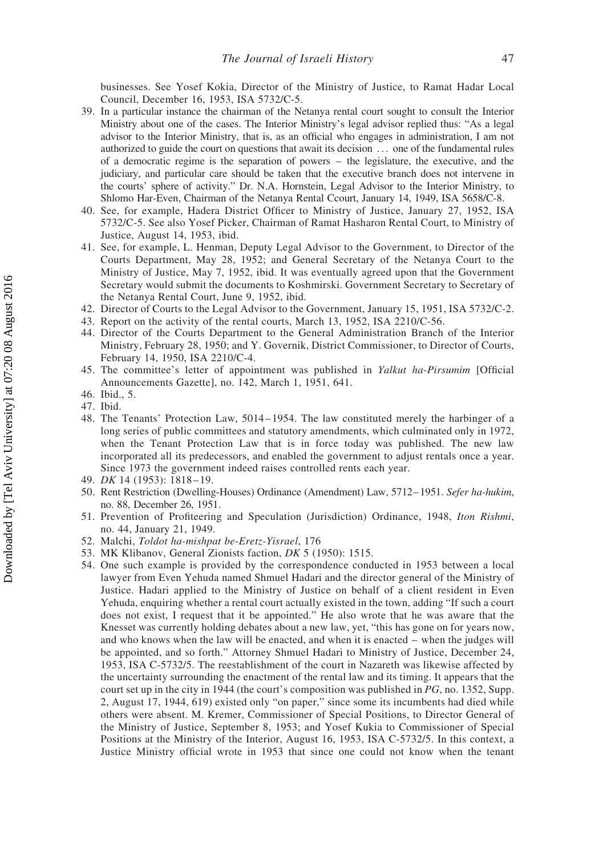businesses. See Yosef Kokia, Director of the Ministry of Justice, to Ramat Hadar Local Council, December 16, 1953, ISA 5732/C-5.

- 39. In a particular instance the chairman of the Netanya rental court sought to consult the Interior Ministry about one of the cases. The Interior Ministry's legal advisor replied thus: "As a legal advisor to the Interior Ministry, that is, as an official who engages in administration, I am not authorized to guide the court on questions that await its decision ... one of the fundamental rules of a democratic regime is the separation of powers – the legislature, the executive, and the judiciary, and particular care should be taken that the executive branch does not intervene in the courts' sphere of activity." Dr. N.A. Hornstein, Legal Advisor to the Interior Ministry, to Shlomo Har-Even, Chairman of the Netanya Rental Ccourt, January 14, 1949, ISA 5658/C-8.
- 40. See, for example, Hadera District Officer to Ministry of Justice, January 27, 1952, ISA 5732/C-5. See also Yosef Picker, Chairman of Ramat Hasharon Rental Court, to Ministry of Justice, August 14, 1953, ibid.
- 41. See, for example, L. Henman, Deputy Legal Advisor to the Government, to Director of the Courts Department, May 28, 1952; and General Secretary of the Netanya Court to the Ministry of Justice, May 7, 1952, ibid. It was eventually agreed upon that the Government Secretary would submit the documents to Koshmirski. Government Secretary to Secretary of the Netanya Rental Court, June 9, 1952, ibid.
- 42. Director of Courts to the Legal Advisor to the Government, January 15, 1951, ISA 5732/C-2.
- 43. Report on the activity of the rental courts, March 13, 1952, ISA 2210/C-56.
- 44. Director of the Courts Department to the General Administration Branch of the Interior Ministry, February 28, 1950; and Y. Governik, District Commissioner, to Director of Courts, February 14, 1950, ISA 2210/C-4.
- 45. The committee's letter of appointment was published in Yalkut ha-Pirsumim [Official Announcements Gazette], no. 142, March 1, 1951, 641.
- 46. Ibid., 5.
- 47. Ibid.
- 48. The Tenants' Protection Law, 5014 1954. The law constituted merely the harbinger of a long series of public committees and statutory amendments, which culminated only in 1972, when the Tenant Protection Law that is in force today was published. The new law incorporated all its predecessors, and enabled the government to adjust rentals once a year. Since 1973 the government indeed raises controlled rents each year.
- 49. DK 14 (1953): 1818 19.
- 50. Rent Restriction (Dwelling-Houses) Ordinance (Amendment) Law, 5712–1951. Sefer ha-hukim, no. 88, December 26, 1951.
- 51. Prevention of Profiteering and Speculation (Jurisdiction) Ordinance, 1948, Iton Rishmi, no. 44, January 21, 1949.
- 52. Malchi, Toldot ha-mishpat be-Eretz-Yisrael, 176
- 53. MK Klibanov, General Zionists faction, DK 5 (1950): 1515.
- 54. One such example is provided by the correspondence conducted in 1953 between a local lawyer from Even Yehuda named Shmuel Hadari and the director general of the Ministry of Justice. Hadari applied to the Ministry of Justice on behalf of a client resident in Even Yehuda, enquiring whether a rental court actually existed in the town, adding "If such a court does not exist, I request that it be appointed." He also wrote that he was aware that the Knesset was currently holding debates about a new law, yet, "this has gone on for years now, and who knows when the law will be enacted, and when it is enacted – when the judges will be appointed, and so forth." Attorney Shmuel Hadari to Ministry of Justice, December 24, 1953, ISA C-5732/5. The reestablishment of the court in Nazareth was likewise affected by the uncertainty surrounding the enactment of the rental law and its timing. It appears that the court set up in the city in 1944 (the court's composition was published in PG, no. 1352, Supp. 2, August 17, 1944, 619) existed only "on paper," since some its incumbents had died while others were absent. M. Kremer, Commissioner of Special Positions, to Director General of the Ministry of Justice, September 8, 1953; and Yosef Kukia to Commissioner of Special Positions at the Ministry of the Interior, August 16, 1953, ISA C-5732/5. In this context, a Justice Ministry official wrote in 1953 that since one could not know when the tenant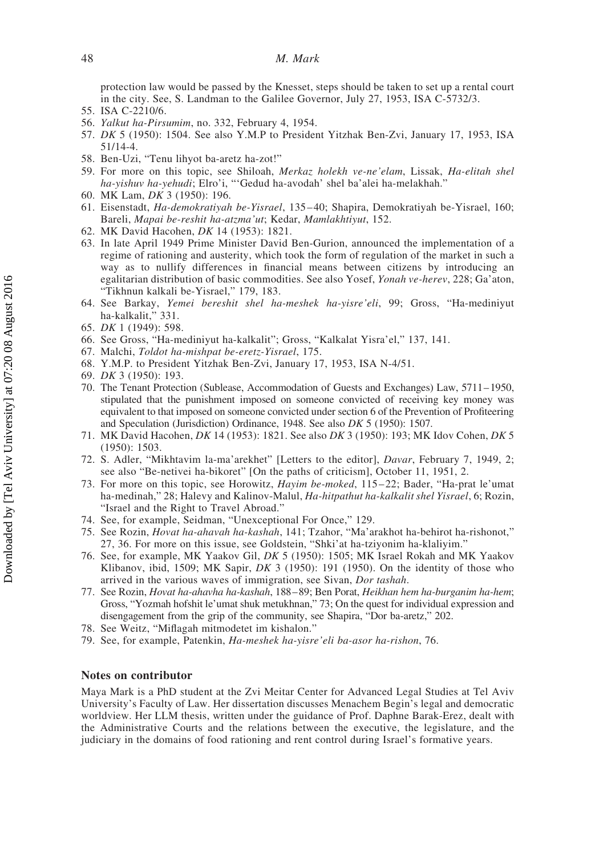protection law would be passed by the Knesset, steps should be taken to set up a rental court in the city. See, S. Landman to the Galilee Governor, July 27, 1953, ISA C-5732/3.

- 55. ISA C-2210/6.
- 56. Yalkut ha-Pirsumim, no. 332, February 4, 1954.
- 57. DK 5 (1950): 1504. See also Y.M.P to President Yitzhak Ben-Zvi, January 17, 1953, ISA 51/14-4.
- 58. Ben-Uzi, "Tenu lihyot ba-aretz ha-zot!"
- 59. For more on this topic, see Shiloah, Merkaz holekh ve-ne'elam, Lissak, Ha-elitah shel ha-yishuv ha-yehudi; Elro'i, "'Gedud ha-avodah' shel ba'alei ha-melakhah."
- 60. MK Lam, DK 3 (1950): 196.
- 61. Eisenstadt, Ha-demokratiyah be-Yisrael, 135 40; Shapira, Demokratiyah be-Yisrael, 160; Bareli, Mapai be-reshit ha-atzma'ut; Kedar, Mamlakhtiyut, 152.
- 62. MK David Hacohen, DK 14 (1953): 1821.
- 63. In late April 1949 Prime Minister David Ben-Gurion, announced the implementation of a regime of rationing and austerity, which took the form of regulation of the market in such a way as to nullify differences in financial means between citizens by introducing an egalitarian distribution of basic commodities. See also Yosef, Yonah ve-herev, 228; Ga'aton, "Tikhnun kalkali be-Yisrael," 179, 183.
- 64. See Barkay, Yemei bereshit shel ha-meshek ha-yisre'eli, 99; Gross, "Ha-mediniyut ha-kalkalit," 331.
- 65. DK 1 (1949): 598.
- 66. See Gross, "Ha-mediniyut ha-kalkalit"; Gross, "Kalkalat Yisra'el," 137, 141.
- 67. Malchi, Toldot ha-mishpat be-eretz-Yisrael, 175.
- 68. Y.M.P. to President Yitzhak Ben-Zvi, January 17, 1953, ISA N-4/51.
- 69. DK 3 (1950): 193.
- 70. The Tenant Protection (Sublease, Accommodation of Guests and Exchanges) Law, 5711–1950, stipulated that the punishment imposed on someone convicted of receiving key money was equivalent to that imposed on someone convicted under section 6 of the Prevention of Profiteering and Speculation (Jurisdiction) Ordinance, 1948. See also DK 5 (1950): 1507.
- 71. MK David Hacohen, DK 14 (1953): 1821. See also DK 3 (1950): 193; MK Idov Cohen, DK 5 (1950): 1503.
- 72. S. Adler, "Mikhtavim la-ma'arekhet" [Letters to the editor], Davar, February 7, 1949, 2; see also "Be-netivei ha-bikoret" [On the paths of criticism], October 11, 1951, 2.
- 73. For more on this topic, see Horowitz, *Hayim be-moked*, 115–22; Bader, "Ha-prat le'umat ha-medinah," 28; Halevy and Kalinov-Malul, Ha-hitpathut ha-kalkalit shel Yisrael, 6; Rozin, "Israel and the Right to Travel Abroad."
- 74. See, for example, Seidman, "Unexceptional For Once," 129.
- 75. See Rozin, Hovat ha-ahavah ha-kashah, 141; Tzahor, "Ma'arakhot ha-behirot ha-rishonot," 27, 36. For more on this issue, see Goldstein, "Shki'at ha-tziyonim ha-klaliyim."
- 76. See, for example, MK Yaakov Gil, DK 5 (1950): 1505; MK Israel Rokah and MK Yaakov Klibanov, ibid, 1509; MK Sapir,  $DK 3$  (1950): 191 (1950). On the identity of those who arrived in the various waves of immigration, see Sivan, Dor tashah.
- 77. See Rozin, Hovat ha-ahavha ha-kashah, 188–89; Ben Porat, Heikhan hem ha-burganim ha-hem; Gross, "Yozmah hofshit le'umat shuk metukhnan," 73; On the quest for individual expression and disengagement from the grip of the community, see Shapira, "Dor ba-aretz," 202.
- 78. See Weitz, "Miflagah mitmodetet im kishalon."
- 79. See, for example, Patenkin, Ha-meshek ha-yisre'eli ba-asor ha-rishon, 76.

#### Notes on contributor

Maya Mark is a PhD student at the Zvi Meitar Center for Advanced Legal Studies at Tel Aviv University's Faculty of Law. Her dissertation discusses Menachem Begin's legal and democratic worldview. Her LLM thesis, written under the guidance of Prof. Daphne Barak-Erez, dealt with the Administrative Courts and the relations between the executive, the legislature, and the judiciary in the domains of food rationing and rent control during Israel's formative years.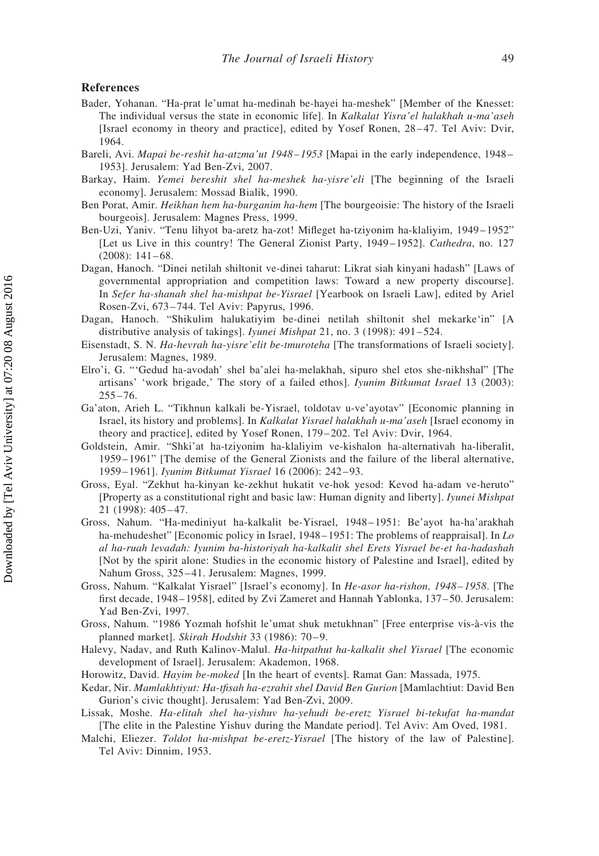#### References

- Bader, Yohanan. "Ha-prat le'umat ha-medinah be-hayei ha-meshek" [Member of the Knesset: The individual versus the state in economic life]. In Kalkalat Yisra'el halakhah u-ma'aseh [Israel economy in theory and practice], edited by Yosef Ronen, 28 – 47. Tel Aviv: Dvir, 1964.
- Bareli, Avi. Mapai be-reshit ha-atzma'ut 1948–1953 [Mapai in the early independence, 1948– 1953]. Jerusalem: Yad Ben-Zvi, 2007.
- Barkay, Haim. Yemei bereshit shel ha-meshek ha-yisre'eli [The beginning of the Israeli economy]. Jerusalem: Mossad Bialik, 1990.
- Ben Porat, Amir. Heikhan hem ha-burganim ha-hem [The bourgeoisie: The history of the Israeli bourgeois]. Jerusalem: Magnes Press, 1999.
- Ben-Uzi, Yaniv. "Tenu lihyot ba-aretz ha-zot! Mifleget ha-tziyonim ha-klaliyim, 1949 1952" [Let us Live in this country! The General Zionist Party, 1949 – 1952]. Cathedra, no. 127  $(2008): 141 - 68.$
- Dagan, Hanoch. "Dinei netilah shiltonit ve-dinei taharut: Likrat siah kinyani hadash" [Laws of governmental appropriation and competition laws: Toward a new property discourse]. In Sefer ha-shanah shel ha-mishpat be-Yisrael [Yearbook on Israeli Law], edited by Ariel Rosen-Zvi, 673 – 744. Tel Aviv: Papyrus, 1996.
- Dagan, Hanoch. "Shikulim halukatiyim be-dinei netilah shiltonit shel mekarke'in" [A distributive analysis of takings]. Iyunei Mishpat 21, no. 3 (1998): 491-524.
- Eisenstadt, S. N. Ha-hevrah ha-yisre'elit be-tmuroteha [The transformations of Israeli society]. Jerusalem: Magnes, 1989.
- Elro'i, G. "'Gedud ha-avodah' shel ba'alei ha-melakhah, sipuro shel etos she-nikhshal" [The artisans' 'work brigade,' The story of a failed ethos]. Iyunim Bitkumat Israel 13 (2003):  $255 - 76.$
- Ga'aton, Arieh L. "Tikhnun kalkali be-Yisrael, toldotav u-ve'ayotav" [Economic planning in Israel, its history and problems]. In Kalkalat Yisrael halakhah u-ma'aseh [Israel economy in theory and practice], edited by Yosef Ronen, 179 – 202. Tel Aviv: Dvir, 1964.
- Goldstein, Amir. "Shki'at ha-tziyonim ha-klaliyim ve-kishalon ha-alternativah ha-liberalit, 1959 – 1961" [The demise of the General Zionists and the failure of the liberal alternative, 1959 – 1961]. Iyunim Bitkumat Yisrael 16 (2006): 242 – 93.
- Gross, Eyal. "Zekhut ha-kinyan ke-zekhut hukatit ve-hok yesod: Kevod ha-adam ve-heruto" [Property as a constitutional right and basic law: Human dignity and liberty]. Iyunei Mishpat 21 (1998): 405 – 47.
- Gross, Nahum. "Ha-mediniyut ha-kalkalit be-Yisrael, 1948 1951: Be'ayot ha-ha'arakhah ha-mehudeshet" [Economic policy in Israel, 1948–1951: The problems of reappraisal]. In Lo al ha-ruah levadah: Iyunim ba-historiyah ha-kalkalit shel Erets Yisrael be-et ha-hadashah [Not by the spirit alone: Studies in the economic history of Palestine and Israel], edited by Nahum Gross, 325 – 41. Jerusalem: Magnes, 1999.
- Gross, Nahum. "Kalkalat Yisrael" [Israel's economy]. In He-asor ha-rishon, 1948–1958. [The first decade, 1948 – 1958], edited by Zvi Zameret and Hannah Yablonka, 137 – 50. Jerusalem: Yad Ben-Zvi, 1997.
- Gross, Nahum. "1986 Yozmah hofshit le'umat shuk metukhnan" [Free enterprise vis-a`-vis the planned market]. Skirah Hodshit 33 (1986): 70-9.
- Halevy, Nadav, and Ruth Kalinov-Malul. Ha-hitpathut ha-kalkalit shel Yisrael [The economic development of Israel]. Jerusalem: Akademon, 1968.
- Horowitz, David. Hayim be-moked [In the heart of events]. Ramat Gan: Massada, 1975.
- Kedar, Nir. Mamlakhtiyut: Ha-tfisah ha-ezrahit shel David Ben Gurion [Mamlachtiut: David Ben Gurion's civic thought]. Jerusalem: Yad Ben-Zvi, 2009.
- Lissak, Moshe. Ha-elitah shel ha-yishuv ha-yehudi be-eretz Yisrael bi-tekufat ha-mandat [The elite in the Palestine Yishuv during the Mandate period]. Tel Aviv: Am Oved, 1981.
- Malchi, Eliezer. Toldot ha-mishpat be-eretz-Yisrael [The history of the law of Palestine]. Tel Aviv: Dinnim, 1953.